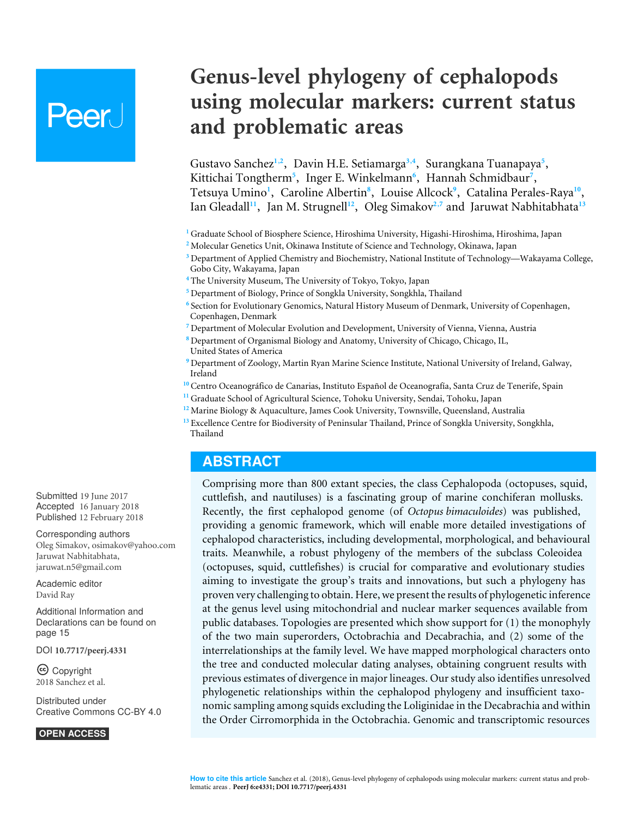# Peer.

# **Genus-level phylogeny of cephalopods using molecular markers: current status and problematic areas**

<span id="page-0-26"></span><span id="page-0-25"></span><span id="page-0-24"></span><span id="page-0-23"></span><span id="page-0-22"></span><span id="page-0-21"></span><span id="page-0-20"></span><span id="page-0-19"></span><span id="page-0-16"></span><span id="page-0-15"></span><span id="page-0-14"></span><span id="page-0-13"></span>Gustavo Sanchez<sup>[1](#page-0-0),[2](#page-0-1)</sup>, Davin H.E. Setiamarga<sup>[3](#page-0-2),[4](#page-0-3)</sup>, Surangkana Tuanapaya<sup>[5](#page-0-4)</sup>, Kittichai Tongtherm<sup>[5](#page-0-4)</sup>, Inger E. Winkelmann<sup>[6](#page-0-5)</sup>, Hannah Schmidbaur<sup>[7](#page-0-6)</sup>, Tetsuya Umino<sup>[1](#page-0-0)</sup>, Caroline Albertin<sup>[8](#page-0-7)</sup>, Louise Allcock<sup>[9](#page-0-8)</sup>, Catalina Perales-Raya<sup>[10](#page-0-9)</sup>, Ian Gleadall**[11](#page-0-10)**, Jan M. Strugnell**[12](#page-0-11)**, Oleg Simakov**[2](#page-0-1)**,**[7](#page-0-6)** and Jaruwat Nabhitabhata**[13](#page-0-12)**

- <span id="page-0-18"></span><span id="page-0-17"></span><span id="page-0-0"></span>**<sup>1</sup>** Graduate School of Biosphere Science, Hiroshima University, Higashi-Hiroshima, Hiroshima, Japan
- <span id="page-0-1"></span>**<sup>2</sup>** Molecular Genetics Unit, Okinawa Institute of Science and Technology, Okinawa, Japan
- <span id="page-0-2"></span>**<sup>3</sup>** Department of Applied Chemistry and Biochemistry, National Institute of Technology—Wakayama College, Gobo City, Wakayama, Japan
- <span id="page-0-3"></span>**<sup>4</sup>** The University Museum, The University of Tokyo, Tokyo, Japan
- <span id="page-0-4"></span>**<sup>5</sup>** Department of Biology, Prince of Songkla University, Songkhla, Thailand
- <span id="page-0-5"></span>**6** Section for Evolutionary Genomics, Natural History Museum of Denmark, University of Copenhagen, Copenhagen, Denmark
- <span id="page-0-6"></span>**<sup>7</sup>** Department of Molecular Evolution and Development, University of Vienna, Vienna, Austria
- <span id="page-0-7"></span>**<sup>8</sup>** Department of Organismal Biology and Anatomy, University of Chicago, Chicago, IL, United States of America
- <span id="page-0-8"></span>**<sup>9</sup>** Department of Zoology, Martin Ryan Marine Science Institute, National University of Ireland, Galway, Ireland
- <span id="page-0-9"></span>**<sup>10</sup>** Centro Oceanográfico de Canarias, Instituto Español de Oceanografía, Santa Cruz de Tenerife, Spain
- <span id="page-0-10"></span>**<sup>11</sup>** Graduate School of Agricultural Science, Tohoku University, Sendai, Tohoku, Japan
- <span id="page-0-11"></span>**<sup>12</sup>** Marine Biology & Aquaculture, James Cook University, Townsville, Queensland, Australia
- <span id="page-0-12"></span>**<sup>13</sup>** Excellence Centre for Biodiversity of Peninsular Thailand, Prince of Songkla University, Songkhla, Thailand

## **ABSTRACT**

Comprising more than 800 extant species, the class Cephalopoda (octopuses, squid, cuttlefish, and nautiluses) is a fascinating group of marine conchiferan mollusks. Recently, the first cephalopod genome (of *Octopus bimaculoides*) was published, providing a genomic framework, which will enable more detailed investigations of cephalopod characteristics, including developmental, morphological, and behavioural traits. Meanwhile, a robust phylogeny of the members of the subclass Coleoidea (octopuses, squid, cuttlefishes) is crucial for comparative and evolutionary studies aiming to investigate the group's traits and innovations, but such a phylogeny has proven very challenging to obtain. Here, we present the results of phylogenetic inference at the genus level using mitochondrial and nuclear marker sequences available from public databases. Topologies are presented which show support for (1) the monophyly of the two main superorders, Octobrachia and Decabrachia, and (2) some of the interrelationships at the family level. We have mapped morphological characters onto the tree and conducted molecular dating analyses, obtaining congruent results with previous estimates of divergence in major lineages. Our study also identifies unresolved phylogenetic relationships within the cephalopod phylogeny and insufficient taxonomic sampling among squids excluding the Loliginidae in the Decabrachia and within the Order Cirromorphida in the Octobrachia. Genomic and transcriptomic resources

Submitted 19 June 2017 Accepted 16 January 2018 Published 12 February 2018

Corresponding authors Oleg Simakov, [osimakov@yahoo.com](mailto:osimakov@yahoo.com) Jaruwat Nabhitabhata, [jaruwat.n5@gmail.com](mailto:jaruwat.n5@gmail.com)

[Academic editor](https://peerj.com/academic-boards/editors/) [David Ray](https://peerj.com/academic-boards/editors/)

[Additional Information and](#page-14-0) [Declarations can be found on](#page-14-0) [page 15](#page-14-0)

DOI **[10.7717/peerj.4331](http://dx.doi.org/10.7717/peerj.4331)**

Copyright 2018 Sanchez et al.

[Distributed under](http://creativecommons.org/licenses/by/4.0/) [Creative Commons CC-BY 4.0](http://creativecommons.org/licenses/by/4.0/)

**OPEN ACCESS**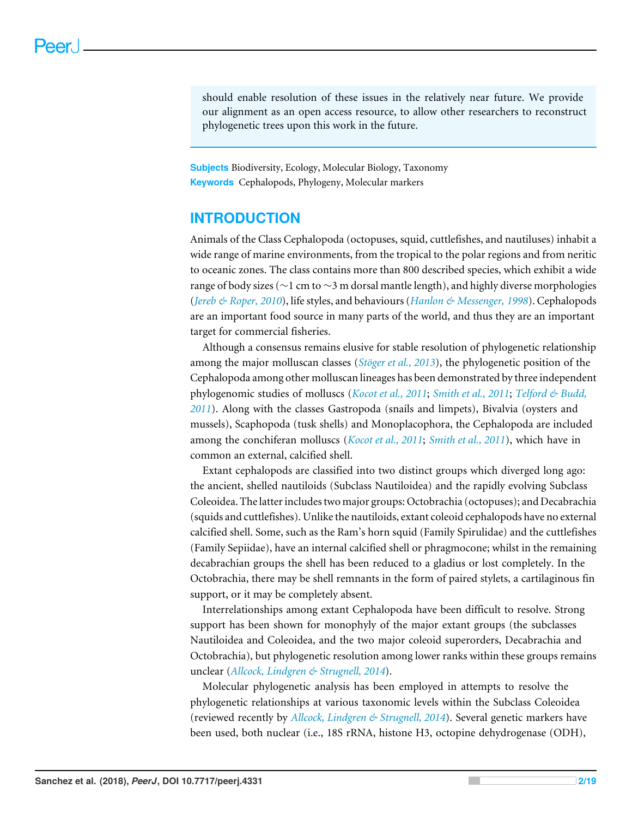should enable resolution of these issues in the relatively near future. We provide our alignment as an open access resource, to allow other researchers to reconstruct phylogenetic trees upon this work in the future.

**Subjects** Biodiversity, Ecology, Molecular Biology, Taxonomy **Keywords** Cephalopods, Phylogeny, Molecular markers

# **INTRODUCTION**

Animals of the Class Cephalopoda (octopuses, squid, cuttlefishes, and nautiluses) inhabit a wide range of marine environments, from the tropical to the polar regions and from neritic to oceanic zones. The class contains more than 800 described species, which exhibit a wide range of body sizes (∼1 cm to ∼3 m dorsal mantle length), and highly diverse morphologies (*[Jereb & Roper, 2010](#page-16-0)*), life styles, and behaviours (*[Hanlon & Messenger, 1998](#page-15-0)*). Cephalopods are an important food source in many parts of the world, and thus they are an important target for commercial fisheries.

Although a consensus remains elusive for stable resolution of phylogenetic relationship among the major molluscan classes (*[Stöger et al., 2013](#page-17-0)*), the phylogenetic position of the Cephalopoda among other molluscan lineages has been demonstrated by three independent phylogenomic studies of molluscs (*[Kocot et al., 2011](#page-16-1)*; *[Smith et al., 2011](#page-17-1)*; *[Telford & Budd,](#page-17-2) [2011](#page-17-2)*). Along with the classes Gastropoda (snails and limpets), Bivalvia (oysters and mussels), Scaphopoda (tusk shells) and Monoplacophora, the Cephalopoda are included among the conchiferan molluscs (*[Kocot et al., 2011](#page-16-1)*; *[Smith et al., 2011](#page-17-1)*), which have in common an external, calcified shell.

Extant cephalopods are classified into two distinct groups which diverged long ago: the ancient, shelled nautiloids (Subclass Nautiloidea) and the rapidly evolving Subclass Coleoidea. The latter includes two major groups: Octobrachia (octopuses); and Decabrachia (squids and cuttlefishes). Unlike the nautiloids, extant coleoid cephalopods have no external calcified shell. Some, such as the Ram's horn squid (Family Spirulidae) and the cuttlefishes (Family Sepiidae), have an internal calcified shell or phragmocone; whilst in the remaining decabrachian groups the shell has been reduced to a gladius or lost completely. In the Octobrachia, there may be shell remnants in the form of paired stylets, a cartilaginous fin support, or it may be completely absent.

Interrelationships among extant Cephalopoda have been difficult to resolve. Strong support has been shown for monophyly of the major extant groups (the subclasses Nautiloidea and Coleoidea, and the two major coleoid superorders, Decabrachia and Octobrachia), but phylogenetic resolution among lower ranks within these groups remains unclear (*[Allcock, Lindgren & Strugnell, 2014](#page-14-1)*).

Molecular phylogenetic analysis has been employed in attempts to resolve the phylogenetic relationships at various taxonomic levels within the Subclass Coleoidea (reviewed recently by *[Allcock, Lindgren & Strugnell, 2014](#page-14-1)*). Several genetic markers have been used, both nuclear (i.e., 18S rRNA, histone H3, octopine dehydrogenase (ODH),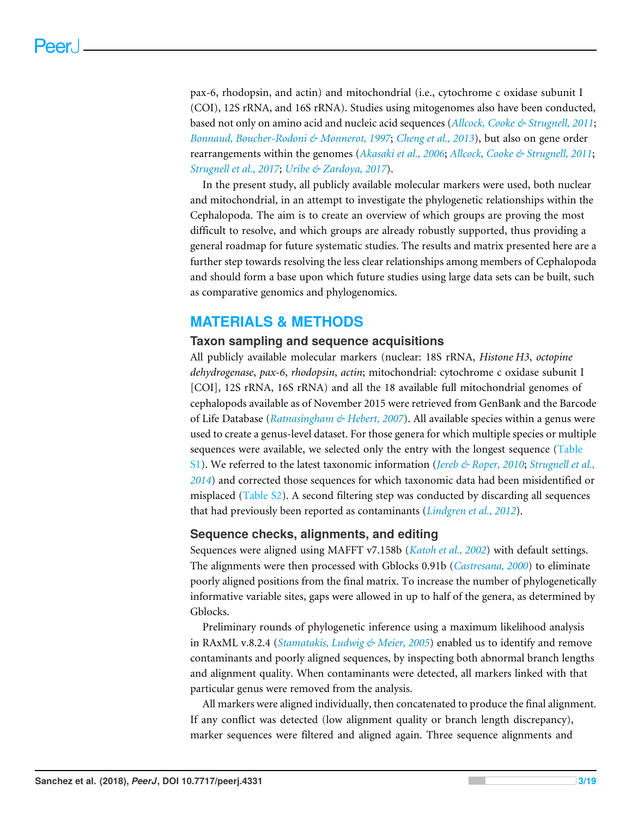pax-6, rhodopsin, and actin) and mitochondrial (i.e., cytochrome c oxidase subunit I (COI), 12S rRNA, and 16S rRNA). Studies using mitogenomes also have been conducted, based not only on amino acid and nucleic acid sequences (*[Allcock, Cooke & Strugnell, 2011](#page-14-2)*; *[Bonnaud, Boucher-Rodoni & Monnerot, 1997](#page-15-1)*; *[Cheng et al., 2013](#page-15-2)*), but also on gene order rearrangements within the genomes (*[Akasaki et al., 2006](#page-14-3)*; *[Allcock, Cooke & Strugnell, 2011](#page-14-2)*; *[Strugnell et al., 2017](#page-17-3)*; *[Uribe & Zardoya, 2017](#page-17-4)*).

In the present study, all publicly available molecular markers were used, both nuclear and mitochondrial, in an attempt to investigate the phylogenetic relationships within the Cephalopoda. The aim is to create an overview of which groups are proving the most difficult to resolve, and which groups are already robustly supported, thus providing a general roadmap for future systematic studies. The results and matrix presented here are a further step towards resolving the less clear relationships among members of Cephalopoda and should form a base upon which future studies using large data sets can be built, such as comparative genomics and phylogenomics.

# **MATERIALS & METHODS**

#### **Taxon sampling and sequence acquisitions**

All publicly available molecular markers (nuclear: 18S rRNA, *Histone H3*, *octopine dehydrogenase*, *pax-6*, *rhodopsin*, *actin*; mitochondrial: cytochrome c oxidase subunit I [COI], 12S rRNA, 16S rRNA) and all the 18 available full mitochondrial genomes of cephalopods available as of November 2015 were retrieved from GenBank and the Barcode of Life Database (*[Ratnasingham & Hebert, 2007](#page-16-2)*). All available species within a genus were used to create a genus-level dataset. For those genera for which multiple species or multiple sequences were available, we selected only the entry with the longest sequence [\(Table](http://dx.doi.org/10.7717/peerj.4331#supp-1) [S1\)](http://dx.doi.org/10.7717/peerj.4331#supp-1). We referred to the latest taxonomic information (*[Jereb & Roper, 2010](#page-16-0)*; *[Strugnell et al.,](#page-17-5) [2014](#page-17-5)*) and corrected those sequences for which taxonomic data had been misidentified or misplaced [\(Table S2\)](http://dx.doi.org/10.7717/peerj.4331#supp-1). A second filtering step was conducted by discarding all sequences that had previously been reported as contaminants (*[Lindgren et al., 2012](#page-16-3)*).

#### **Sequence checks, alignments, and editing**

Sequences were aligned using MAFFT v7.158b (*[Katoh et al., 2002](#page-16-4)*) with default settings. The alignments were then processed with Gblocks 0.91b (*[Castresana, 2000](#page-15-3)*) to eliminate poorly aligned positions from the final matrix. To increase the number of phylogenetically informative variable sites, gaps were allowed in up to half of the genera, as determined by Gblocks.

Preliminary rounds of phylogenetic inference using a maximum likelihood analysis in RAxML v.8.2.4 (*[Stamatakis, Ludwig & Meier, 2005](#page-17-6)*) enabled us to identify and remove contaminants and poorly aligned sequences, by inspecting both abnormal branch lengths and alignment quality. When contaminants were detected, all markers linked with that particular genus were removed from the analysis.

All markers were aligned individually, then concatenated to produce the final alignment. If any conflict was detected (low alignment quality or branch length discrepancy), marker sequences were filtered and aligned again. Three sequence alignments and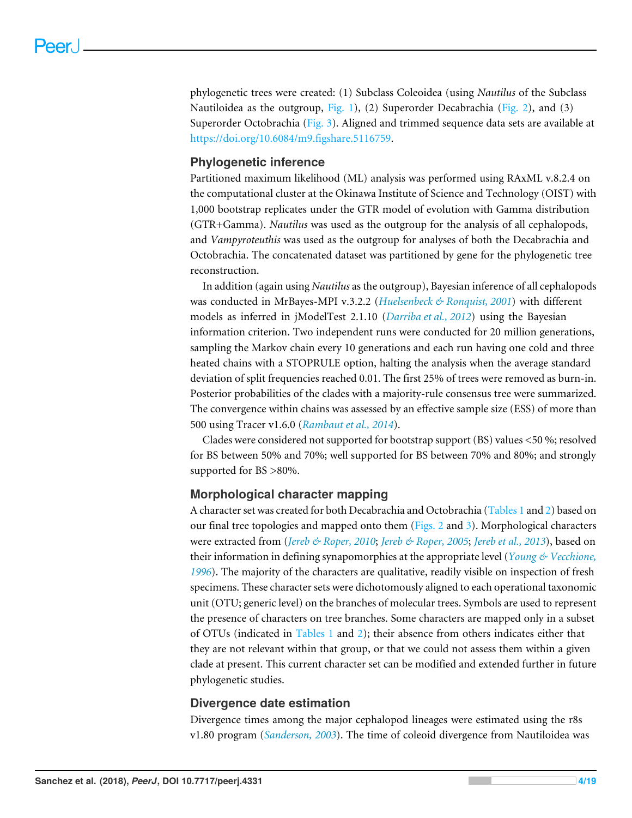phylogenetic trees were created: (1) Subclass Coleoidea (using *Nautilus* of the Subclass Nautiloidea as the outgroup, [Fig. 1\)](#page-4-0), (2) Superorder Decabrachia [\(Fig. 2\)](#page-5-0), and (3) Superorder Octobrachia [\(Fig. 3\)](#page-6-0). Aligned and trimmed sequence data sets are available at [https://doi.org/10.6084/m9.figshare.5116759.](https://doi.org/10.6084/m9.figshare.5116759)

#### **Phylogenetic inference**

Partitioned maximum likelihood (ML) analysis was performed using RAxML v.8.2.4 on the computational cluster at the Okinawa Institute of Science and Technology (OIST) with 1,000 bootstrap replicates under the GTR model of evolution with Gamma distribution (GTR+Gamma). *Nautilus* was used as the outgroup for the analysis of all cephalopods, and *Vampyroteuthis* was used as the outgroup for analyses of both the Decabrachia and Octobrachia. The concatenated dataset was partitioned by gene for the phylogenetic tree reconstruction.

In addition (again using *Nautilus* as the outgroup), Bayesian inference of all cephalopods was conducted in MrBayes-MPI v.3.2.2 (*[Huelsenbeck & Ronquist, 2001](#page-15-4)*) with different models as inferred in jModelTest 2.1.10 (*[Darriba et al., 2012](#page-15-5)*) using the Bayesian information criterion. Two independent runs were conducted for 20 million generations, sampling the Markov chain every 10 generations and each run having one cold and three heated chains with a STOPRULE option, halting the analysis when the average standard deviation of split frequencies reached 0.01. The first 25% of trees were removed as burn-in. Posterior probabilities of the clades with a majority-rule consensus tree were summarized. The convergence within chains was assessed by an effective sample size (ESS) of more than 500 using Tracer v1.6.0 (*[Rambaut et al.,](#page-16-5) [2014](#page-16-5)*).

Clades were considered not supported for bootstrap support (BS) values <50 %; resolved for BS between 50% and 70%; well supported for BS between 70% and 80%; and strongly supported for BS >80%.

#### **Morphological character mapping**

A character set was created for both Decabrachia and Octobrachia [\(Tables 1](#page-7-0) and [2\)](#page-8-0) based on our final tree topologies and mapped onto them [\(Figs. 2](#page-5-0) and [3\)](#page-6-0). Morphological characters were extracted from (*[Jereb & Roper, 2010](#page-16-0)*; *[Jereb & Roper, 2005](#page-15-6)*; *[Jereb et al., 2013](#page-16-6)*), based on their information in defining synapomorphies at the appropriate level (*[Young & Vecchione,](#page-18-0) [1996](#page-18-0)*). The majority of the characters are qualitative, readily visible on inspection of fresh specimens. These character sets were dichotomously aligned to each operational taxonomic unit (OTU; generic level) on the branches of molecular trees. Symbols are used to represent the presence of characters on tree branches. Some characters are mapped only in a subset of OTUs (indicated in [Tables 1](#page-7-0) and [2\)](#page-8-0); their absence from others indicates either that they are not relevant within that group, or that we could not assess them within a given clade at present. This current character set can be modified and extended further in future phylogenetic studies.

#### **Divergence date estimation**

Divergence times among the major cephalopod lineages were estimated using the r8s v1.80 program (*[Sanderson,](#page-17-7) [2003](#page-17-7)*). The time of coleoid divergence from Nautiloidea was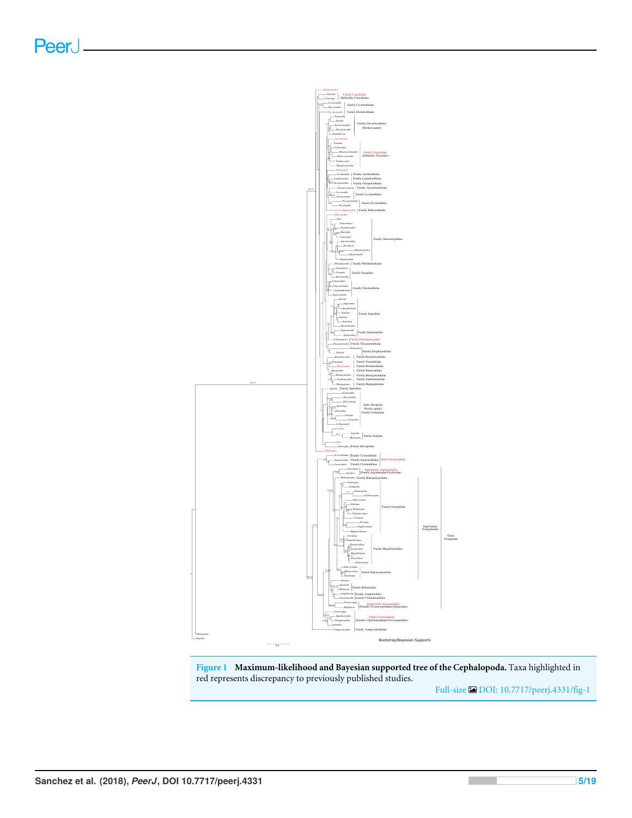<span id="page-4-0"></span>

**Figure 1 Maximum-likelihood and Bayesian supported tree of the Cephalopoda.** Taxa highlighted in red represents discrepancy to previously published studies.

Full-size [DOI: 10.7717/peerj.4331/fig-1](https://doi.org/10.7717/peerj.4331/fig-1)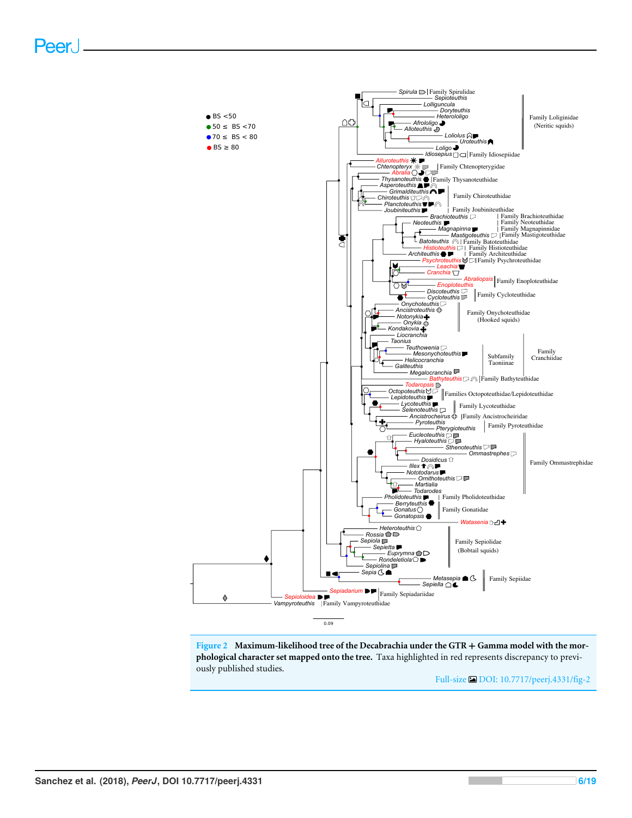<span id="page-5-0"></span>

**Figure 2 Maximum-likelihood tree of the Decabrachia under the GTR** + **Gamma model with the morphological character set mapped onto the tree.** Taxa highlighted in red represents discrepancy to previously published studies.

Full-size [DOI: 10.7717/peerj.4331/fig-2](https://doi.org/10.7717/peerj.4331/fig-2)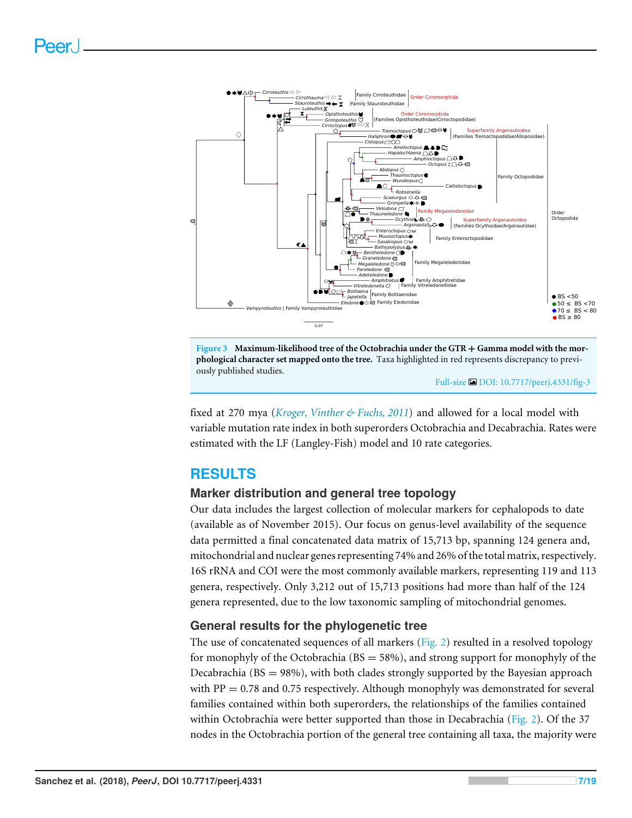<span id="page-6-0"></span>

**Figure 3 Maximum-likelihood tree of the Octobrachia under the GTR** + **Gamma model with the morphological character set mapped onto the tree.** Taxa highlighted in red represents discrepancy to previously published studies.

Full-size [DOI: 10.7717/peerj.4331/fig-3](https://doi.org/10.7717/peerj.4331/fig-3)

fixed at 270 mya (*[Kroger, Vinther & Fuchs, 2011](#page-16-7)*) and allowed for a local model with variable mutation rate index in both superorders Octobrachia and Decabrachia. Rates were estimated with the LF (Langley-Fish) model and 10 rate categories.

# **RESULTS**

### **Marker distribution and general tree topology**

Our data includes the largest collection of molecular markers for cephalopods to date (available as of November 2015). Our focus on genus-level availability of the sequence data permitted a final concatenated data matrix of 15,713 bp, spanning 124 genera and, mitochondrial and nuclear genes representing 74% and 26% of the total matrix, respectively. 16S rRNA and COI were the most commonly available markers, representing 119 and 113 genera, respectively. Only 3,212 out of 15,713 positions had more than half of the 124 genera represented, due to the low taxonomic sampling of mitochondrial genomes.

#### **General results for the phylogenetic tree**

The use of concatenated sequences of all markers ( $Fig. 2$ ) resulted in a resolved topology for monophyly of the Octobrachia ( $BS = 58\%$ ), and strong support for monophyly of the Decabrachia ( $BS = 98\%$ ), with both clades strongly supported by the Bayesian approach with  $PP = 0.78$  and 0.75 respectively. Although monophyly was demonstrated for several families contained within both superorders, the relationships of the families contained within Octobrachia were better supported than those in Decabrachia [\(Fig. 2\)](#page-5-0). Of the 37 nodes in the Octobrachia portion of the general tree containing all taxa, the majority were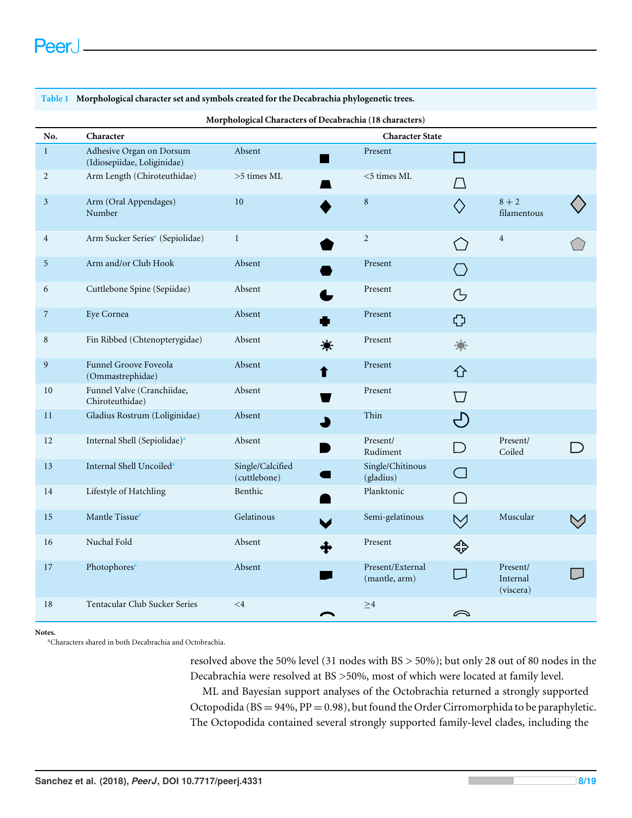| No.            | Character                                               |                                  |                                   |                                                     |                                   |  |
|----------------|---------------------------------------------------------|----------------------------------|-----------------------------------|-----------------------------------------------------|-----------------------------------|--|
| $\mathbf{1}$   | Adhesive Organ on Dorsum<br>(Idiosepiidae, Loliginidae) | Absent                           | <b>Character State</b><br>Present | $\overline{\phantom{a}}$                            |                                   |  |
| $\overline{2}$ | Arm Length (Chiroteuthidae)                             | $>\!5$ times ML                  | $<$ 5 times $\rm ML$              |                                                     |                                   |  |
| $\mathfrak{Z}$ | Arm (Oral Appendages)<br>Number                         | 10                               | $\,8\,$                           |                                                     | $8 + 2$<br>filamentous            |  |
| $\overline{4}$ | Arm Sucker Series <sup>a</sup> (Sepiolidae)             | $\mathbf{1}$                     | $\overline{c}$                    |                                                     | $\overline{4}$                    |  |
| 5              | Arm and/or Club Hook                                    | Absent                           | Present                           |                                                     |                                   |  |
| 6              | Cuttlebone Spine (Sepiidae)                             | Absent                           | Present                           | G                                                   |                                   |  |
| 7              | Eye Cornea                                              | Absent                           | Present                           | Ф                                                   |                                   |  |
| 8              | Fin Ribbed (Chtenopterygidae)                           | Absent                           | Present                           | 潦                                                   |                                   |  |
| 9              | Funnel Groove Foveola<br>(Ommastrephidae)               | Absent                           | Present<br>↑                      | 子                                                   |                                   |  |
| $10\,$         | Funnel Valve (Cranchiidae,<br>Chiroteuthidae)           | Absent                           | Present                           |                                                     |                                   |  |
| 11             | Gladius Rostrum (Loliginidae)                           | Absent                           | Thin                              | $\left( \begin{matrix} -1 \ 1 \end{matrix} \right)$ |                                   |  |
| 12             | Internal Shell (Sepiolidae) <sup>a</sup>                | Absent                           | Present/<br>Rudiment              | D                                                   | Present/<br>Coiled                |  |
| 13             | Internal Shell Uncoiled <sup>a</sup>                    | Single/Calcified<br>(cuttlebone) | Single/Chitinous<br>(gladius)     | $\subset$ 1                                         |                                   |  |
| $14\,$         | Lifestyle of Hatchling                                  | Benthic                          | Planktonic                        |                                                     |                                   |  |
| 15             | Mantle Tissue <sup>a</sup>                              | Gelatinous                       | Semi-gelatinous                   | $\vee$                                              | Muscular                          |  |
| 16             | Nuchal Fold                                             | Absent                           | Present                           | ঞ                                                   |                                   |  |
| 17             | Photophores <sup>a</sup>                                | Absent                           | Present/External<br>(mantle, arm) | $\Box$                                              | Present/<br>Internal<br>(viscera) |  |
| 18             | Tentacular Club Sucker Series                           | $\leq 4$                         | $\geq 4$                          | ⌒                                                   |                                   |  |

<span id="page-7-0"></span>**Table 1 Morphological character set and symbols created for the Decabrachia phylogenetic trees.**

<span id="page-7-1"></span>**Notes.**

<sup>a</sup>Characters shared in both Decabrachia and Octobrachia.

resolved above the 50% level (31 nodes with BS > 50%); but only 28 out of 80 nodes in the Decabrachia were resolved at BS >50%, most of which were located at family level.

ML and Bayesian support analyses of the Octobrachia returned a strongly supported Octopodida ( $BS = 94\%$ ,  $PP = 0.98$ ), but found the Order Cirromorphida to be paraphyletic. The Octopodida contained several strongly supported family-level clades, including the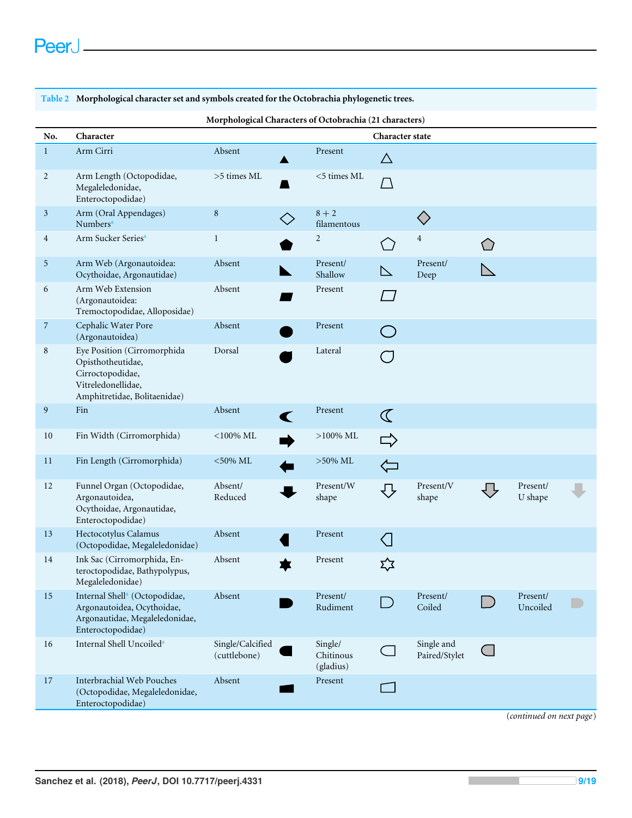#### <span id="page-8-0"></span>**Table 2 Morphological character set and symbols created for the Octobrachia phylogenetic trees.**

| Morphological Characters of Octobrachia (21 characters) |                                                                                                                                |                                  |                      |                                   |                  |                             |           |                      |  |  |
|---------------------------------------------------------|--------------------------------------------------------------------------------------------------------------------------------|----------------------------------|----------------------|-----------------------------------|------------------|-----------------------------|-----------|----------------------|--|--|
| No.                                                     | Character                                                                                                                      | Character state                  |                      |                                   |                  |                             |           |                      |  |  |
| $\mathbf{1}$                                            | Arm Cirri                                                                                                                      | Absent                           |                      | Present                           | $\triangle$      |                             |           |                      |  |  |
| $\overline{2}$                                          | Arm Length (Octopodidae,<br>Megaleledonidae,<br>Enteroctopodidae)                                                              | >5 times ML                      |                      | $<$ 5 times ML                    | $\bigcap$        |                             |           |                      |  |  |
| $\mathfrak{Z}$                                          | Arm (Oral Appendages)<br>Numbers <sup>a</sup>                                                                                  | $\, 8$                           | $\diamondsuit$       | $8 + 2$<br>filamentous            |                  | $\diamondsuit$              |           |                      |  |  |
| 4                                                       | Arm Sucker Series <sup>a</sup>                                                                                                 | $\mathbf{1}$                     |                      | $\overline{2}$                    |                  | $\overline{4}$              |           |                      |  |  |
| $\overline{5}$                                          | Arm Web (Argonautoidea:<br>Ocythoidae, Argonautidae)                                                                           | Absent                           |                      | Present/<br>Shallow               | $\triangleright$ | Present/<br>Deep            |           |                      |  |  |
| 6                                                       | Arm Web Extension<br>(Argonautoidea:<br>Tremoctopodidae, Alloposidae)                                                          | Absent                           |                      | Present                           | l 1              |                             |           |                      |  |  |
| $\overline{7}$                                          | Cephalic Water Pore<br>(Argonautoidea)                                                                                         | Absent                           |                      | Present                           |                  |                             |           |                      |  |  |
| 8                                                       | Eye Position (Cirromorphida<br>Opisthotheutidae,<br>Cirroctopodidae,<br>Vitreledonellidae,<br>Amphitretidae, Bolitaenidae)     | Dorsal                           |                      | Lateral                           | $\bigcap$        |                             |           |                      |  |  |
| 9                                                       | Fin                                                                                                                            | Absent                           | $\blacktriangledown$ | Present                           | $\mathcal{Q}$    |                             |           |                      |  |  |
| 10                                                      | Fin Width (Cirromorphida)                                                                                                      | $<\!\!100\!\, \%$ ML             |                      | $>100\%$ ML                       | $\Rightarrow$    |                             |           |                      |  |  |
| 11                                                      | Fin Length (Cirromorphida)                                                                                                     | $<$ 50% ML                       |                      | $>50\%$ ML                        |                  |                             |           |                      |  |  |
| 12                                                      | Funnel Organ (Octopodidae,<br>Argonautoidea,<br>Ocythoidae, Argonautidae,<br>Enteroctopodidae)                                 | Absent/<br>Reduced               |                      | Present/W<br>shape                | ⇩                | Present/V<br>shape          |           | Present/<br>U shape  |  |  |
| 13                                                      | Hectocotylus Calamus<br>(Octopodidae, Megaleledonidae)                                                                         | Absent                           |                      | Present                           | $\zeta$          |                             |           |                      |  |  |
| 14                                                      | Ink Sac (Cirromorphida, En-<br>teroctopodidae, Bathypolypus,<br>Megaleledonidae)                                               | Absent                           |                      | Present                           | ኢ്ጟ              |                             |           |                      |  |  |
| 15                                                      | Internal Shell <sup>a</sup> (Octopodidae,<br>Argonautoidea, Ocythoidae,<br>Argonautidae, Megaleledonidae,<br>Enteroctopodidae) | Absent                           |                      | Present/<br>Rudiment              |                  | Present/<br>Coiled          |           | Present/<br>Uncoiled |  |  |
| $16\,$                                                  | Internal Shell Uncoiled <sup>a</sup>                                                                                           | Single/Calcified<br>(cuttlebone) |                      | Single/<br>Chitinous<br>(gladius) | $\sim$ 1         | Single and<br>Paired/Stylet | $\subset$ |                      |  |  |
| $17\,$                                                  | Interbrachial Web Pouches<br>(Octopodidae, Megaleledonidae,<br>Enteroctopodidae)                                               | Absent                           |                      | Present                           |                  |                             |           |                      |  |  |

(*continued on next page*)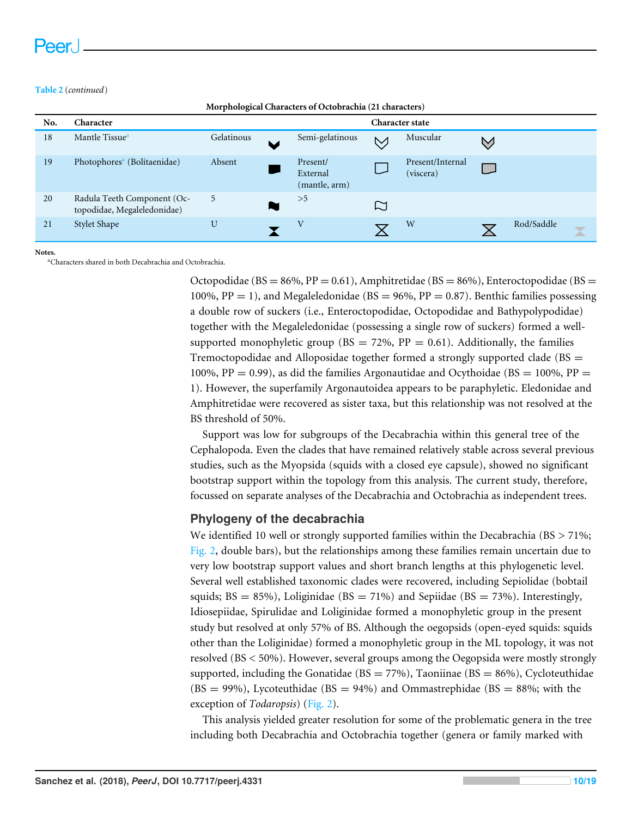#### **Table 2** (*continued*)

| No. | Character                                                  | <b>Character state</b> |  |                                       |        |                               |           |            |   |
|-----|------------------------------------------------------------|------------------------|--|---------------------------------------|--------|-------------------------------|-----------|------------|---|
| 18  | Mantle Tissue <sup>a</sup>                                 | Gelatinous             |  | Semi-gelatinous                       | $\vee$ | Muscular                      | $\bigvee$ |            |   |
| 19  | Photophores <sup>a</sup> (Bolitaenidae)                    | Absent                 |  | Present/<br>External<br>(mantle, arm) |        | Present/Internal<br>(viscera) |           |            |   |
| 20  | Radula Teeth Component (Oc-<br>topodidae, Megaleledonidae) | 5                      |  | >5                                    |        |                               |           |            |   |
| 21  | Stylet Shape                                               | U                      |  | V                                     |        | W                             |           | Rod/Saddle | X |

**Morphological Characters of Octobrachia (21 characters)**

<span id="page-9-0"></span>**Notes.**

<sup>a</sup>Characters shared in both Decabrachia and Octobrachia.

Octopodidae (BS = 86%, PP = 0.61), Amphitretidae (BS = 86%), Enteroctopodidae (BS = 100%,  $PP = 1$ ), and Megaleledonidae ( $BS = 96$ %,  $PP = 0.87$ ). Benthic families possessing a double row of suckers (i.e., Enteroctopodidae, Octopodidae and Bathypolypodidae) together with the Megaleledonidae (possessing a single row of suckers) formed a wellsupported monophyletic group ( $BS = 72\%$ ,  $PP = 0.61$ ). Additionally, the families Tremoctopodidae and Alloposidae together formed a strongly supported clade (BS = 100%, PP = 0.99), as did the families Argonautidae and Ocythoidae (BS = 100%, PP = 1). However, the superfamily Argonautoidea appears to be paraphyletic. Eledonidae and Amphitretidae were recovered as sister taxa, but this relationship was not resolved at the BS threshold of 50%.

Support was low for subgroups of the Decabrachia within this general tree of the Cephalopoda. Even the clades that have remained relatively stable across several previous studies, such as the Myopsida (squids with a closed eye capsule), showed no significant bootstrap support within the topology from this analysis. The current study, therefore, focussed on separate analyses of the Decabrachia and Octobrachia as independent trees.

#### **Phylogeny of the decabrachia**

We identified 10 well or strongly supported families within the Decabrachia ( $BS > 71\%$ ; [Fig. 2,](#page-5-0) double bars), but the relationships among these families remain uncertain due to very low bootstrap support values and short branch lengths at this phylogenetic level. Several well established taxonomic clades were recovered, including Sepiolidae (bobtail squids;  $BS = 85\%$ ), Loliginidae ( $BS = 71\%$ ) and Sepiidae ( $BS = 73\%$ ). Interestingly, Idiosepiidae, Spirulidae and Loliginidae formed a monophyletic group in the present study but resolved at only 57% of BS. Although the oegopsids (open-eyed squids: squids other than the Loliginidae) formed a monophyletic group in the ML topology, it was not resolved (BS < 50%). However, several groups among the Oegopsida were mostly strongly supported, including the Gonatidae ( $BS = 77\%$ ), Taoniinae ( $BS = 86\%$ ), Cycloteuthidae  $(BS = 99\%)$ , Lycoteuthidae (BS = 94%) and Ommastrephidae (BS = 88%; with the exception of *Todaropsis*) [\(Fig. 2\)](#page-5-0).

This analysis yielded greater resolution for some of the problematic genera in the tree including both Decabrachia and Octobrachia together (genera or family marked with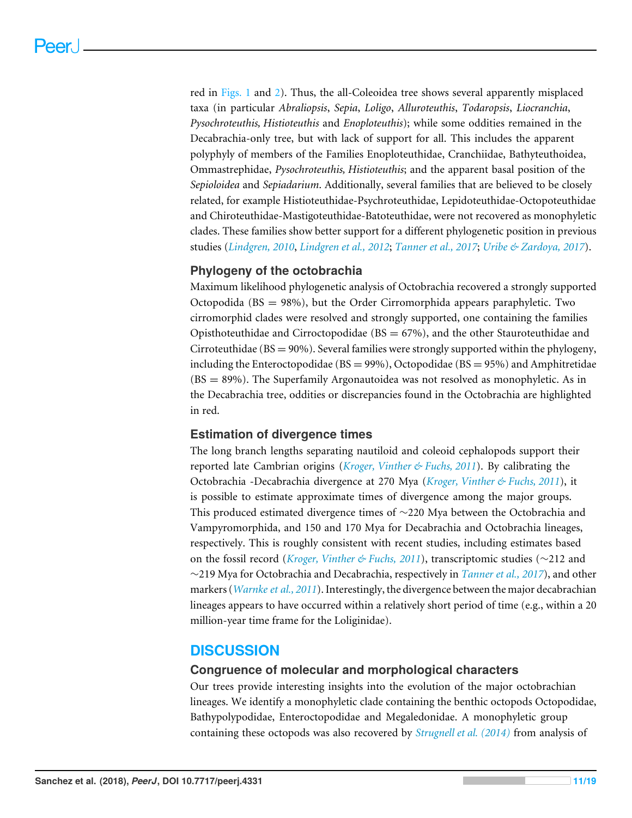red in [Figs. 1](#page-4-0) and [2\)](#page-5-0). Thus, the all-Coleoidea tree shows several apparently misplaced taxa (in particular *Abraliopsis*, *Sepia*, *Loligo*, *Alluroteuthis*, *Todaropsis*, *Liocranchia*, *Pysochroteuthis, Histioteuthis* and *Enoploteuthis*); while some oddities remained in the Decabrachia-only tree, but with lack of support for all. This includes the apparent polyphyly of members of the Families Enoploteuthidae, Cranchiidae, Bathyteuthoidea, Ommastrephidae, *Pysochroteuthis, Histioteuthis*; and the apparent basal position of the *Sepioloidea* and *Sepiadarium*. Additionally, several families that are believed to be closely related, for example Histioteuthidae-Psychroteuthidae, Lepidoteuthidae-Octopoteuthidae and Chiroteuthidae-Mastigoteuthidae-Batoteuthidae, were not recovered as monophyletic clades. These families show better support for a different phylogenetic position in previous studies (*[Lindgren,](#page-16-8) [2010](#page-16-8)*, *[Lindgren et al.,](#page-16-3) [2012](#page-16-3)*; *[Tanner et al., 2017](#page-17-8)*; *[Uribe & Zardoya,](#page-17-4) [2017](#page-17-4)*).

#### **Phylogeny of the octobrachia**

Maximum likelihood phylogenetic analysis of Octobrachia recovered a strongly supported Octopodida ( $BS = 98\%$ ), but the Order Cirromorphida appears paraphyletic. Two cirromorphid clades were resolved and strongly supported, one containing the families Opisthoteuthidae and Cirroctopodidae ( $BS = 67\%$ ), and the other Stauroteuthidae and Cirroteuthidae ( $BS = 90\%$ ). Several families were strongly supported within the phylogeny, including the Enteroctopodidae ( $BS = 99\%$ ), Octopodidae ( $BS = 95\%$ ) and Amphitretidae (BS = 89%). The Superfamily Argonautoidea was not resolved as monophyletic. As in the Decabrachia tree, oddities or discrepancies found in the Octobrachia are highlighted in red.

#### **Estimation of divergence times**

The long branch lengths separating nautiloid and coleoid cephalopods support their reported late Cambrian origins (*[Kroger, Vinther & Fuchs, 2011](#page-16-7)*). By calibrating the Octobrachia -Decabrachia divergence at 270 Mya (*[Kroger, Vinther & Fuchs, 2011](#page-16-7)*), it is possible to estimate approximate times of divergence among the major groups. This produced estimated divergence times of ∼220 Mya between the Octobrachia and Vampyromorphida, and 150 and 170 Mya for Decabrachia and Octobrachia lineages, respectively. This is roughly consistent with recent studies, including estimates based on the fossil record (*[Kroger, Vinther & Fuchs,](#page-16-7) [2011](#page-16-7)*), transcriptomic studies (∼212 and ∼219 Mya for Octobrachia and Decabrachia, respectively in *[Tanner et al., 2017](#page-17-8)*), and other markers (*[Warnke et al.,](#page-18-1) [2011](#page-18-1)*). Interestingly, the divergence between the major decabrachian lineages appears to have occurred within a relatively short period of time (e.g., within a 20 million-year time frame for the Loliginidae).

# **DISCUSSION**

#### **Congruence of molecular and morphological characters**

Our trees provide interesting insights into the evolution of the major octobrachian lineages. We identify a monophyletic clade containing the benthic octopods Octopodidae, Bathypolypodidae, Enteroctopodidae and Megaledonidae. A monophyletic group containing these octopods was also recovered by *[Strugnell et al. \(2014\)](#page-17-5)* from analysis of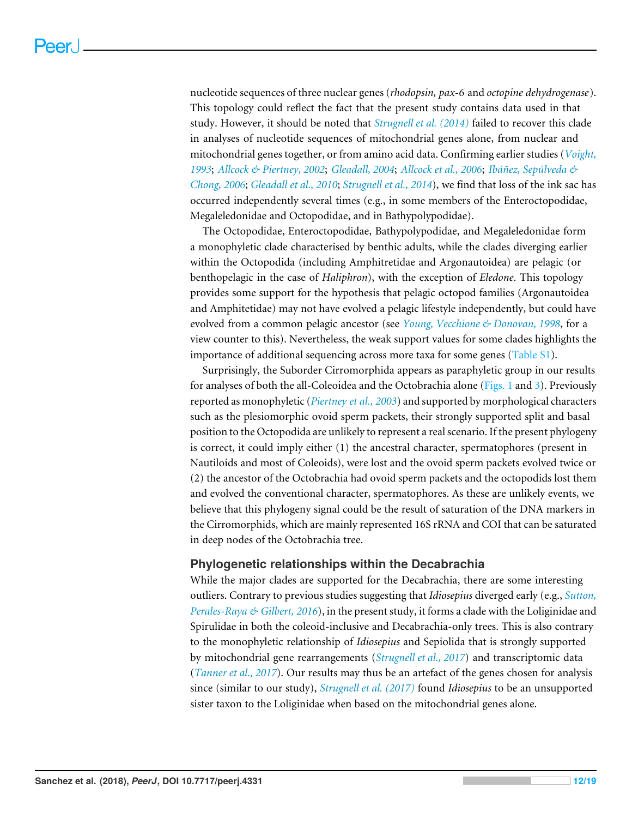nucleotide sequences of three nuclear genes (*rhodopsin, pax-6* and *octopine dehydrogenase*). This topology could reflect the fact that the present study contains data used in that study. However, it should be noted that *[Strugnell et al. \(2014\)](#page-17-5)* failed to recover this clade in analyses of nucleotide sequences of mitochondrial genes alone, from nuclear and mitochondrial genes together, or from amino acid data. Confirming earlier studies (*[Voight,](#page-17-9) [1993](#page-17-9)*; *[Allcock & Piertney, 2002](#page-15-7)*; *[Gleadall, 2004](#page-15-8)*; *[Allcock et al., 2006](#page-15-9)*; *[Ibáñez, Sepúlveda &](#page-15-10) [Chong, 2006](#page-15-10)*; *[Gleadall et al., 2010](#page-15-11)*; *[Strugnell et al., 2014](#page-17-5)*), we find that loss of the ink sac has occurred independently several times (e.g., in some members of the Enteroctopodidae, Megaleledonidae and Octopodidae, and in Bathypolypodidae).

The Octopodidae, Enteroctopodidae, Bathypolypodidae, and Megaleledonidae form a monophyletic clade characterised by benthic adults, while the clades diverging earlier within the Octopodida (including Amphitretidae and Argonautoidea) are pelagic (or benthopelagic in the case of *Haliphron*), with the exception of *Eledone*. This topology provides some support for the hypothesis that pelagic octopod families (Argonautoidea and Amphitetidae) may not have evolved a pelagic lifestyle independently, but could have evolved from a common pelagic ancestor (see *[Young, Vecchione & Donovan, 1998](#page-18-2)*, for a view counter to this). Nevertheless, the weak support values for some clades highlights the importance of additional sequencing across more taxa for some genes [\(Table S1\)](http://dx.doi.org/10.7717/peerj.4331#supp-1).

Surprisingly, the Suborder Cirromorphida appears as paraphyletic group in our results for analyses of both the all-Coleoidea and the Octobrachia alone [\(Figs. 1](#page-4-0) and [3\)](#page-6-0). Previously reported as monophyletic (*[Piertney et al., 2003](#page-16-9)*) and supported by morphological characters such as the plesiomorphic ovoid sperm packets, their strongly supported split and basal position to the Octopodida are unlikely to represent a real scenario. If the present phylogeny is correct, it could imply either (1) the ancestral character, spermatophores (present in Nautiloids and most of Coleoids), were lost and the ovoid sperm packets evolved twice or (2) the ancestor of the Octobrachia had ovoid sperm packets and the octopodids lost them and evolved the conventional character, spermatophores. As these are unlikely events, we believe that this phylogeny signal could be the result of saturation of the DNA markers in the Cirromorphids, which are mainly represented 16S rRNA and COI that can be saturated in deep nodes of the Octobrachia tree.

#### **Phylogenetic relationships within the Decabrachia**

While the major clades are supported for the Decabrachia, there are some interesting outliers. Contrary to previous studies suggesting that *Idiosepius* diverged early (e.g., *[Sutton,](#page-17-10) [Perales-Raya & Gilbert, 2016](#page-17-10)*), in the present study, it forms a clade with the Loliginidae and Spirulidae in both the coleoid-inclusive and Decabrachia-only trees. This is also contrary to the monophyletic relationship of *Idiosepius* and Sepiolida that is strongly supported by mitochondrial gene rearrangements (*[Strugnell et al., 2017](#page-17-3)*) and transcriptomic data (*[Tanner et al., 2017](#page-17-8)*). Our results may thus be an artefact of the genes chosen for analysis since (similar to our study), *[Strugnell et al. \(2017\)](#page-17-3)* found *Idiosepius* to be an unsupported sister taxon to the Loliginidae when based on the mitochondrial genes alone.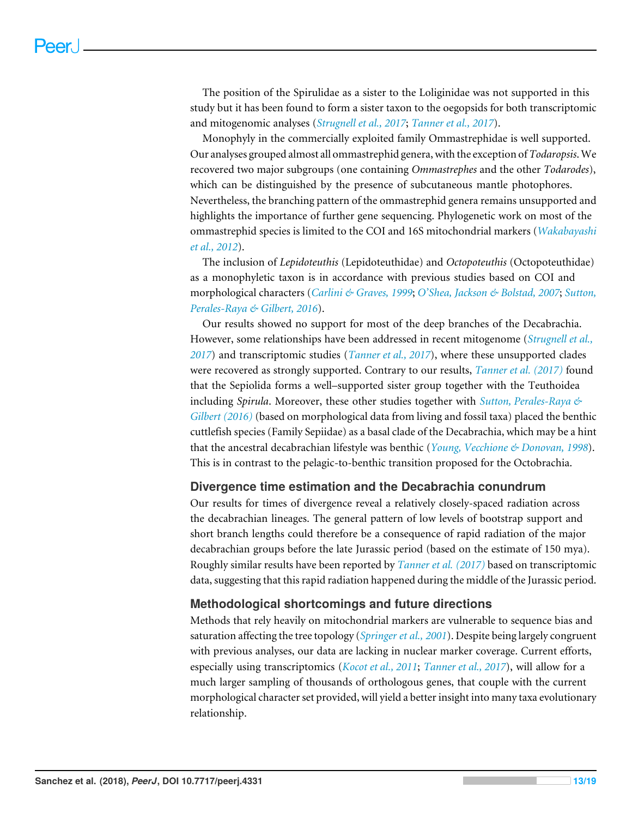The position of the Spirulidae as a sister to the Loliginidae was not supported in this study but it has been found to form a sister taxon to the oegopsids for both transcriptomic and mitogenomic analyses (*[Strugnell et al., 2017](#page-17-3)*; *[Tanner et al., 2017](#page-17-8)*).

Monophyly in the commercially exploited family Ommastrephidae is well supported. Our analyses grouped almost all ommastrephid genera, with the exception of *Todaropsis*.We recovered two major subgroups (one containing *Ommastrephes* and the other *Todarodes*), which can be distinguished by the presence of subcutaneous mantle photophores. Nevertheless, the branching pattern of the ommastrephid genera remains unsupported and highlights the importance of further gene sequencing. Phylogenetic work on most of the ommastrephid species is limited to the COI and 16S mitochondrial markers (*[Wakabayashi](#page-17-11) [et al., 2012](#page-17-11)*).

The inclusion of *Lepidoteuthis* (Lepidoteuthidae) and *Octopoteuthis* (Octopoteuthidae) as a monophyletic taxon is in accordance with previous studies based on COI and morphological characters (*[Carlini & Graves, 1999](#page-15-12)*; *[O'Shea, Jackson & Bolstad, 2007](#page-16-10)*; *[Sutton,](#page-17-10) [Perales-Raya & Gilbert, 2016](#page-17-10)*).

Our results showed no support for most of the deep branches of the Decabrachia. However, some relationships have been addressed in recent mitogenome (*[Strugnell et al.,](#page-17-3) [2017](#page-17-3)*) and transcriptomic studies (*[Tanner et al., 2017](#page-17-8)*), where these unsupported clades were recovered as strongly supported. Contrary to our results, *[Tanner et al. \(2017\)](#page-17-8)* found that the Sepiolida forms a well–supported sister group together with the Teuthoidea including *Spirula*. Moreover, these other studies together with *[Sutton, Perales-Raya &](#page-17-10) [Gilbert \(2016\)](#page-17-10)* (based on morphological data from living and fossil taxa) placed the benthic cuttlefish species (Family Sepiidae) as a basal clade of the Decabrachia, which may be a hint that the ancestral decabrachian lifestyle was benthic (*[Young, Vecchione & Donovan, 1998](#page-18-2)*). This is in contrast to the pelagic-to-benthic transition proposed for the Octobrachia.

#### **Divergence time estimation and the Decabrachia conundrum**

Our results for times of divergence reveal a relatively closely-spaced radiation across the decabrachian lineages. The general pattern of low levels of bootstrap support and short branch lengths could therefore be a consequence of rapid radiation of the major decabrachian groups before the late Jurassic period (based on the estimate of 150 mya). Roughly similar results have been reported by *[Tanner et al. \(2017\)](#page-17-8)* based on transcriptomic data, suggesting that this rapid radiation happened during the middle of the Jurassic period.

#### **Methodological shortcomings and future directions**

Methods that rely heavily on mitochondrial markers are vulnerable to sequence bias and saturation affecting the tree topology (*[Springer et al., 2001](#page-17-12)*). Despite being largely congruent with previous analyses, our data are lacking in nuclear marker coverage. Current efforts, especially using transcriptomics (*[Kocot et al., 2011](#page-16-1)*; *[Tanner et al., 2017](#page-17-8)*), will allow for a much larger sampling of thousands of orthologous genes, that couple with the current morphological character set provided, will yield a better insight into many taxa evolutionary relationship.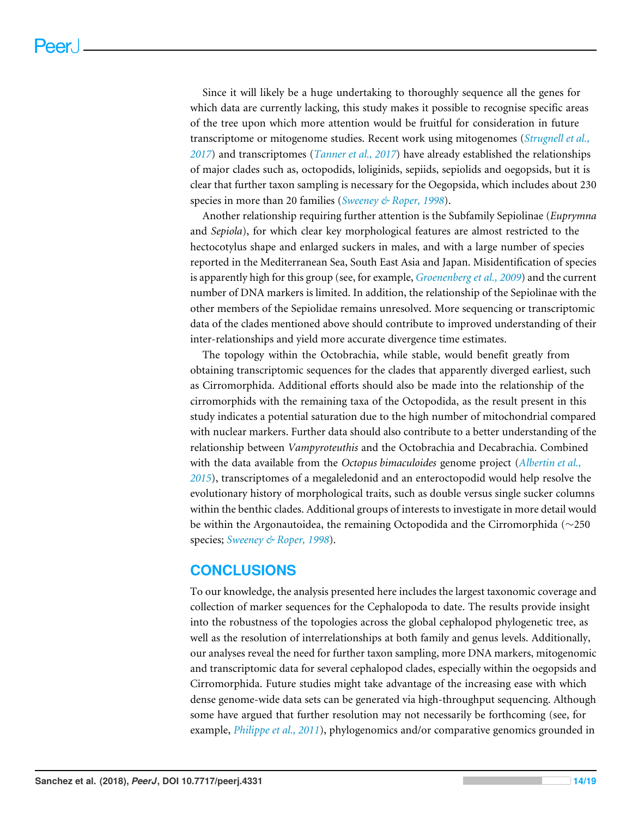Since it will likely be a huge undertaking to thoroughly sequence all the genes for which data are currently lacking, this study makes it possible to recognise specific areas of the tree upon which more attention would be fruitful for consideration in future transcriptome or mitogenome studies. Recent work using mitogenomes (*[Strugnell et al.,](#page-17-3) [2017](#page-17-3)*) and transcriptomes (*[Tanner et al., 2017](#page-17-8)*) have already established the relationships of major clades such as, octopodids, loliginids, sepiids, sepiolids and oegopsids, but it is clear that further taxon sampling is necessary for the Oegopsida, which includes about 230 species in more than 20 families (*[Sweeney & Roper, 1998](#page-17-13)*).

Another relationship requiring further attention is the Subfamily Sepiolinae (*Euprymna* and *Sepiola*), for which clear key morphological features are almost restricted to the hectocotylus shape and enlarged suckers in males, and with a large number of species reported in the Mediterranean Sea, South East Asia and Japan. Misidentification of species is apparently high for this group (see, for example, *[Groenenberg et al., 2009](#page-15-13)*) and the current number of DNA markers is limited. In addition, the relationship of the Sepiolinae with the other members of the Sepiolidae remains unresolved. More sequencing or transcriptomic data of the clades mentioned above should contribute to improved understanding of their inter-relationships and yield more accurate divergence time estimates.

The topology within the Octobrachia, while stable, would benefit greatly from obtaining transcriptomic sequences for the clades that apparently diverged earliest, such as Cirromorphida. Additional efforts should also be made into the relationship of the cirromorphids with the remaining taxa of the Octopodida, as the result present in this study indicates a potential saturation due to the high number of mitochondrial compared with nuclear markers. Further data should also contribute to a better understanding of the relationship between *Vampyroteuthis* and the Octobrachia and Decabrachia. Combined with the data available from the *Octopus bimaculoides* genome project (*[Albertin et al.,](#page-14-4) [2015](#page-14-4)*), transcriptomes of a megaleledonid and an enteroctopodid would help resolve the evolutionary history of morphological traits, such as double versus single sucker columns within the benthic clades. Additional groups of interests to investigate in more detail would be within the Argonautoidea, the remaining Octopodida and the Cirromorphida (∼250 species; *[Sweeney & Roper, 1998](#page-17-13)*).

#### **CONCLUSIONS**

To our knowledge, the analysis presented here includes the largest taxonomic coverage and collection of marker sequences for the Cephalopoda to date. The results provide insight into the robustness of the topologies across the global cephalopod phylogenetic tree, as well as the resolution of interrelationships at both family and genus levels. Additionally, our analyses reveal the need for further taxon sampling, more DNA markers, mitogenomic and transcriptomic data for several cephalopod clades, especially within the oegopsids and Cirromorphida. Future studies might take advantage of the increasing ease with which dense genome-wide data sets can be generated via high-throughput sequencing. Although some have argued that further resolution may not necessarily be forthcoming (see, for example, *[Philippe et al., 2011](#page-16-11)*), phylogenomics and/or comparative genomics grounded in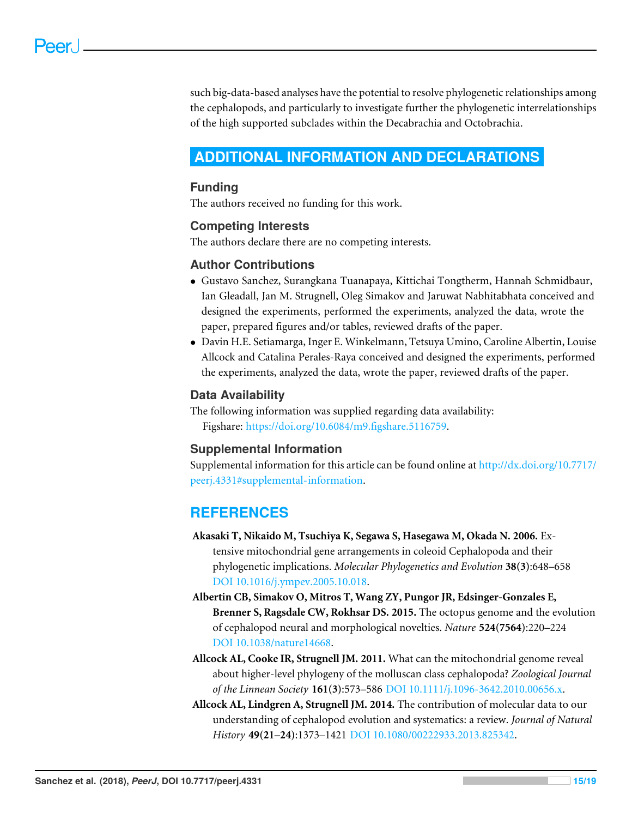such big-data-based analyses have the potential to resolve phylogenetic relationships among the cephalopods, and particularly to investigate further the phylogenetic interrelationships of the high supported subclades within the Decabrachia and Octobrachia.

# <span id="page-14-0"></span>**ADDITIONAL INFORMATION AND DECLARATIONS**

#### **Funding**

The authors received no funding for this work.

#### **Competing Interests**

The authors declare there are no competing interests.

#### **Author Contributions**

- [Gustavo Sanchez,](#page-0-13) [Surangkana Tuanapaya,](#page-0-14) [Kittichai Tongtherm,](#page-0-15) [Hannah Schmidbaur,](#page-0-16) [Ian Gleadall,](#page-0-17) [Jan M. Strugnell,](#page-0-18) [Oleg Simakov](#page-0-19) and [Jaruwat Nabhitabhata](#page-0-20) conceived and designed the experiments, performed the experiments, analyzed the data, wrote the paper, prepared figures and/or tables, reviewed drafts of the paper.
- [Davin H.E. Setiamarga,](#page-0-21) [Inger E. Winkelmann,](#page-0-22) [Tetsuya Umino,](#page-0-23) [Caroline Albertin,](#page-0-24) [Louise](#page-0-25) [Allcock](#page-0-25) and [Catalina Perales-Raya](#page-0-26) conceived and designed the experiments, performed the experiments, analyzed the data, wrote the paper, reviewed drafts of the paper.

#### **Data Availability**

The following information was supplied regarding data availability: Figshare: [https://doi.org/10.6084/m9.figshare.5116759.](https://doi.org/10.6084/m9.figshare.5116759)

#### **Supplemental Information**

Supplemental information for this article can be found online at [http://dx.doi.org/10.7717/](http://dx.doi.org/10.7717/peerj.4331#supplemental-information) [peerj.4331#supplemental-information.](http://dx.doi.org/10.7717/peerj.4331#supplemental-information)

# **REFERENCES**

- <span id="page-14-3"></span>**Akasaki T, Nikaido M, Tsuchiya K, Segawa S, Hasegawa M, Okada N. 2006.** Extensive mitochondrial gene arrangements in coleoid Cephalopoda and their phylogenetic implications. *Molecular Phylogenetics and Evolution* **38(3)**:648–658 [DOI 10.1016/j.ympev.2005.10.018.](http://dx.doi.org/10.1016/j.ympev.2005.10.018)
- <span id="page-14-4"></span>**Albertin CB, Simakov O, Mitros T, Wang ZY, Pungor JR, Edsinger-Gonzales E, Brenner S, Ragsdale CW, Rokhsar DS. 2015.** The octopus genome and the evolution of cephalopod neural and morphological novelties. *Nature* **524(7564)**:220–224 [DOI 10.1038/nature14668.](http://dx.doi.org/10.1038/nature14668)
- <span id="page-14-2"></span>**Allcock AL, Cooke IR, Strugnell JM. 2011.** What can the mitochondrial genome reveal about higher-level phylogeny of the molluscan class cephalopoda? *Zoological Journal of the Linnean Society* **161(3)**:573–586 [DOI 10.1111/j.1096-3642.2010.00656.x.](http://dx.doi.org/10.1111/j.1096-3642.2010.00656.x)
- <span id="page-14-1"></span>**Allcock AL, Lindgren A, Strugnell JM. 2014.** The contribution of molecular data to our understanding of cephalopod evolution and systematics: a review. *Journal of Natural History* **49(21–24)**:1373–1421 [DOI 10.1080/00222933.2013.825342.](http://dx.doi.org/10.1080/00222933.2013.825342)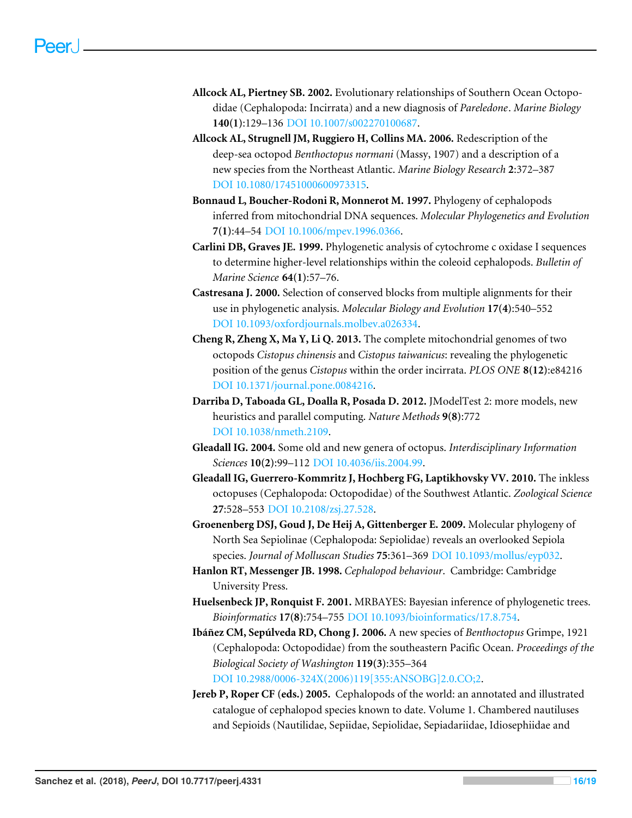- <span id="page-15-7"></span>**Allcock AL, Piertney SB. 2002.** Evolutionary relationships of Southern Ocean Octopodidae (Cephalopoda: Incirrata) and a new diagnosis of *Pareledone*. *Marine Biology* **140(1)**:129–136 [DOI 10.1007/s002270100687.](http://dx.doi.org/10.1007/s002270100687)
- <span id="page-15-9"></span>**Allcock AL, Strugnell JM, Ruggiero H, Collins MA. 2006.** Redescription of the deep-sea octopod *Benthoctopus normani* (Massy, 1907) and a description of a new species from the Northeast Atlantic. *Marine Biology Research* **2**:372–387 [DOI 10.1080/17451000600973315.](http://dx.doi.org/10.1080/17451000600973315)
- <span id="page-15-1"></span>**Bonnaud L, Boucher-Rodoni R, Monnerot M. 1997.** Phylogeny of cephalopods inferred from mitochondrial DNA sequences. *Molecular Phylogenetics and Evolution* **7(1)**:44–54 [DOI 10.1006/mpev.1996.0366.](http://dx.doi.org/10.1006/mpev.1996.0366)
- <span id="page-15-12"></span>**Carlini DB, Graves JE. 1999.** Phylogenetic analysis of cytochrome c oxidase I sequences to determine higher-level relationships within the coleoid cephalopods. *Bulletin of Marine Science* **64(1)**:57–76.
- <span id="page-15-3"></span>**Castresana J. 2000.** Selection of conserved blocks from multiple alignments for their use in phylogenetic analysis. *Molecular Biology and Evolution* **17(4)**:540–552 [DOI 10.1093/oxfordjournals.molbev.a026334.](http://dx.doi.org/10.1093/oxfordjournals.molbev.a026334)
- <span id="page-15-2"></span>**Cheng R, Zheng X, Ma Y, Li Q. 2013.** The complete mitochondrial genomes of two octopods *Cistopus chinensis* and *Cistopus taiwanicus*: revealing the phylogenetic position of the genus *Cistopus* within the order incirrata. *PLOS ONE* **8(12)**:e84216 [DOI 10.1371/journal.pone.0084216.](http://dx.doi.org/10.1371/journal.pone.0084216)
- <span id="page-15-5"></span>**Darriba D, Taboada GL, Doalla R, Posada D. 2012.** JModelTest 2: more models, new heuristics and parallel computing. *Nature Methods* **9(8)**:772 [DOI 10.1038/nmeth.2109.](http://dx.doi.org/10.1038/nmeth.2109)
- <span id="page-15-8"></span>**Gleadall IG. 2004.** Some old and new genera of octopus. *Interdisciplinary Information Sciences* **10(2)**:99–112 [DOI 10.4036/iis.2004.99.](http://dx.doi.org/10.4036/iis.2004.99)
- <span id="page-15-11"></span>**Gleadall IG, Guerrero-Kommritz J, Hochberg FG, Laptikhovsky VV. 2010.** The inkless octopuses (Cephalopoda: Octopodidae) of the Southwest Atlantic. *Zoological Science* **27**:528–553 [DOI 10.2108/zsj.27.528.](http://dx.doi.org/10.2108/zsj.27.528)
- <span id="page-15-13"></span>**Groenenberg DSJ, Goud J, De Heij A, Gittenberger E. 2009.** Molecular phylogeny of North Sea Sepiolinae (Cephalopoda: Sepiolidae) reveals an overlooked Sepiola species. *Journal of Molluscan Studies* **75**:361–369 [DOI 10.1093/mollus/eyp032.](http://dx.doi.org/10.1093/mollus/eyp032)
- <span id="page-15-0"></span>**Hanlon RT, Messenger JB. 1998.** *Cephalopod behaviour*. Cambridge: Cambridge University Press.
- <span id="page-15-4"></span>**Huelsenbeck JP, Ronquist F. 2001.** MRBAYES: Bayesian inference of phylogenetic trees. *Bioinformatics* **17(8)**:754–755 [DOI 10.1093/bioinformatics/17.8.754.](http://dx.doi.org/10.1093/bioinformatics/17.8.754)
- <span id="page-15-10"></span>**Ibáñez CM, Sepúlveda RD, Chong J. 2006.** A new species of *Benthoctopus* Grimpe, 1921 (Cephalopoda: Octopodidae) from the southeastern Pacific Ocean. *Proceedings of the Biological Society of Washington* **119(3)**:355–364 [DOI 10.2988/0006-324X\(2006\)119\[355:ANSOBG\]2.0.CO;2.](http://dx.doi.org/10.2988/0006-324X(2006)119[355:ANSOBG]2.0.CO;2)
- <span id="page-15-6"></span>**Jereb P, Roper CF (eds.) 2005.** Cephalopods of the world: an annotated and illustrated catalogue of cephalopod species known to date. Volume 1. Chambered nautiluses and Sepioids (Nautilidae, Sepiidae, Sepiolidae, Sepiadariidae, Idiosephiidae and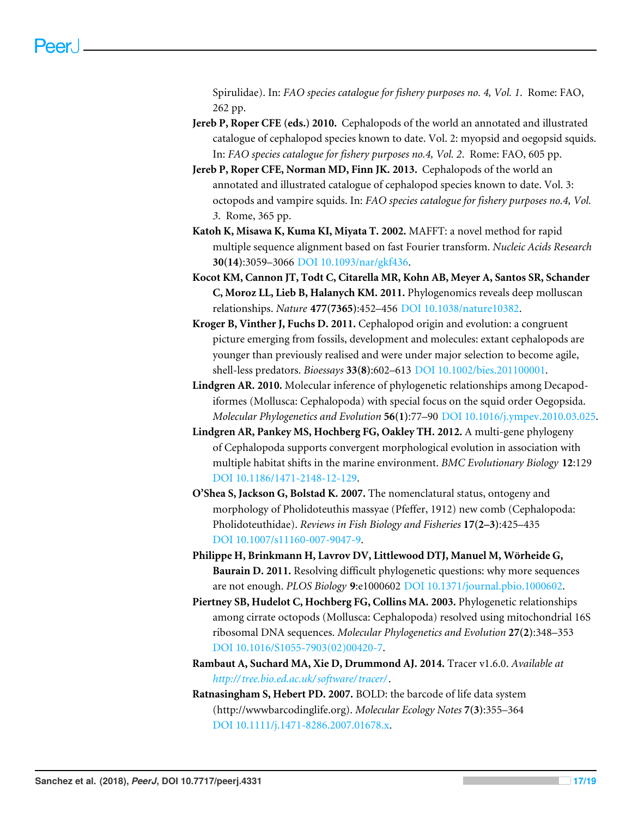Spirulidae). In: *FAO species catalogue for fishery purposes no. 4, Vol. 1*. Rome: FAO, 262 pp.

- <span id="page-16-0"></span>**Jereb P, Roper CFE (eds.) 2010.** Cephalopods of the world an annotated and illustrated catalogue of cephalopod species known to date. Vol. 2: myopsid and oegopsid squids. In: *FAO species catalogue for fishery purposes no.4, Vol. 2*. Rome: FAO, 605 pp.
- <span id="page-16-6"></span>**Jereb P, Roper CFE, Norman MD, Finn JK. 2013.** Cephalopods of the world an annotated and illustrated catalogue of cephalopod species known to date. Vol. 3: octopods and vampire squids. In: *FAO species catalogue for fishery purposes no.4, Vol. 3*. Rome, 365 pp.
- <span id="page-16-4"></span>**Katoh K, Misawa K, Kuma KI, Miyata T. 2002.** MAFFT: a novel method for rapid multiple sequence alignment based on fast Fourier transform. *Nucleic Acids Research* **30(14)**:3059–3066 [DOI 10.1093/nar/gkf436.](http://dx.doi.org/10.1093/nar/gkf436)
- <span id="page-16-1"></span>**Kocot KM, Cannon JT, Todt C, Citarella MR, Kohn AB, Meyer A, Santos SR, Schander C, Moroz LL, Lieb B, Halanych KM. 2011.** Phylogenomics reveals deep molluscan relationships. *Nature* **477(7365)**:452–456 [DOI 10.1038/nature10382.](http://dx.doi.org/10.1038/nature10382)
- <span id="page-16-7"></span>**Kroger B, Vinther J, Fuchs D. 2011.** Cephalopod origin and evolution: a congruent picture emerging from fossils, development and molecules: extant cephalopods are younger than previously realised and were under major selection to become agile, shell-less predators. *Bioessays* **33(8)**:602–613 [DOI 10.1002/bies.201100001.](http://dx.doi.org/10.1002/bies.201100001)
- <span id="page-16-8"></span>**Lindgren AR. 2010.** Molecular inference of phylogenetic relationships among Decapodiformes (Mollusca: Cephalopoda) with special focus on the squid order Oegopsida. *Molecular Phylogenetics and Evolution* **56(1)**:77–90 [DOI 10.1016/j.ympev.2010.03.025.](http://dx.doi.org/10.1016/j.ympev.2010.03.025)
- <span id="page-16-3"></span>**Lindgren AR, Pankey MS, Hochberg FG, Oakley TH. 2012.** A multi-gene phylogeny of Cephalopoda supports convergent morphological evolution in association with multiple habitat shifts in the marine environment. *BMC Evolutionary Biology* **12**:129 [DOI 10.1186/1471-2148-12-129.](http://dx.doi.org/10.1186/1471-2148-12-129)
- <span id="page-16-10"></span>**O'Shea S, Jackson G, Bolstad K. 2007.** The nomenclatural status, ontogeny and morphology of Pholidoteuthis massyae (Pfeffer, 1912) new comb (Cephalopoda: Pholidoteuthidae). *Reviews in Fish Biology and Fisheries* **17(2–3)**:425–435 [DOI 10.1007/s11160-007-9047-9.](http://dx.doi.org/10.1007/s11160-007-9047-9)
- <span id="page-16-11"></span>**Philippe H, Brinkmann H, Lavrov DV, Littlewood DTJ, Manuel M, Wörheide G, Baurain D. 2011.** Resolving difficult phylogenetic questions: why more sequences are not enough. *PLOS Biology* **9**:e1000602 [DOI 10.1371/journal.pbio.1000602.](http://dx.doi.org/10.1371/journal.pbio.1000602)
- <span id="page-16-9"></span>**Piertney SB, Hudelot C, Hochberg FG, Collins MA. 2003.** Phylogenetic relationships among cirrate octopods (Mollusca: Cephalopoda) resolved using mitochondrial 16S ribosomal DNA sequences. *Molecular Phylogenetics and Evolution* **27(2)**:348–353 [DOI 10.1016/S1055-7903\(02\)00420-7.](http://dx.doi.org/10.1016/S1055-7903(02)00420-7)
- <span id="page-16-5"></span>**Rambaut A, Suchard MA, Xie D, Drummond AJ. 2014.** Tracer v1.6.0. *Available at [http://tree.bio.ed.ac.uk/ software/tracer/](http://tree.bio.ed.ac.uk/software/tracer/)*.
- <span id="page-16-2"></span>**Ratnasingham S, Hebert PD. 2007.** BOLD: the barcode of life data system (http://wwwbarcodinglife.org). *Molecular Ecology Notes* **7(3)**:355–364 [DOI 10.1111/j.1471-8286.2007.01678.x.](http://dx.doi.org/10.1111/j.1471-8286.2007.01678.x)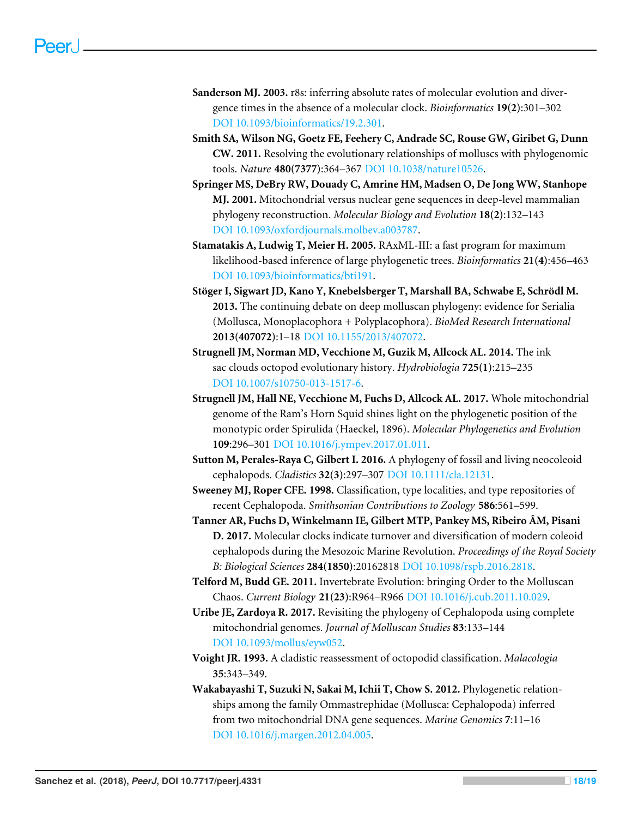- <span id="page-17-7"></span>**Sanderson MJ. 2003.** r8s: inferring absolute rates of molecular evolution and divergence times in the absence of a molecular clock. *Bioinformatics* **19(2)**:301–302 [DOI 10.1093/bioinformatics/19.2.301.](http://dx.doi.org/10.1093/bioinformatics/19.2.301)
- <span id="page-17-1"></span>**Smith SA, Wilson NG, Goetz FE, Feehery C, Andrade SC, Rouse GW, Giribet G, Dunn CW. 2011.** Resolving the evolutionary relationships of molluscs with phylogenomic tools. *Nature* **480(7377)**:364–367 [DOI 10.1038/nature10526.](http://dx.doi.org/10.1038/nature10526)
- <span id="page-17-12"></span>**Springer MS, DeBry RW, Douady C, Amrine HM, Madsen O, De Jong WW, Stanhope MJ. 2001.** Mitochondrial versus nuclear gene sequences in deep-level mammalian phylogeny reconstruction. *Molecular Biology and Evolution* **18(2)**:132–143 [DOI 10.1093/oxfordjournals.molbev.a003787.](http://dx.doi.org/10.1093/oxfordjournals.molbev.a003787)
- <span id="page-17-6"></span>**Stamatakis A, Ludwig T, Meier H. 2005.** RAxML-III: a fast program for maximum likelihood-based inference of large phylogenetic trees. *Bioinformatics* **21(4)**:456–463 [DOI 10.1093/bioinformatics/bti191.](http://dx.doi.org/10.1093/bioinformatics/bti191)
- <span id="page-17-0"></span>**Stöger I, Sigwart JD, Kano Y, Knebelsberger T, Marshall BA, Schwabe E, Schrödl M. 2013.** The continuing debate on deep molluscan phylogeny: evidence for Serialia (Mollusca, Monoplacophora + Polyplacophora). *BioMed Research International* **2013(407072)**:1–18 [DOI 10.1155/2013/407072.](http://dx.doi.org/10.1155/2013/407072)
- <span id="page-17-5"></span>**Strugnell JM, Norman MD, Vecchione M, Guzik M, Allcock AL. 2014.** The ink sac clouds octopod evolutionary history. *Hydrobiologia* **725(1)**:215–235 [DOI 10.1007/s10750-013-1517-6.](http://dx.doi.org/10.1007/s10750-013-1517-6)
- <span id="page-17-3"></span>**Strugnell JM, Hall NE, Vecchione M, Fuchs D, Allcock AL. 2017.** Whole mitochondrial genome of the Ram's Horn Squid shines light on the phylogenetic position of the monotypic order Spirulida (Haeckel, 1896). *Molecular Phylogenetics and Evolution* **109**:296–301 [DOI 10.1016/j.ympev.2017.01.011.](http://dx.doi.org/10.1016/j.ympev.2017.01.011)
- <span id="page-17-10"></span>**Sutton M, Perales-Raya C, Gilbert I. 2016.** A phylogeny of fossil and living neocoleoid cephalopods. *Cladistics* **32(3)**:297–307 [DOI 10.1111/cla.12131.](http://dx.doi.org/10.1111/cla.12131)
- <span id="page-17-13"></span>**Sweeney MJ, Roper CFE. 1998.** Classification, type localities, and type repositories of recent Cephalopoda. *Smithsonian Contributions to Zoology* **586**:561–599.
- <span id="page-17-8"></span>**Tanner AR, Fuchs D, Winkelmann IE, Gilbert MTP, Pankey MS, Ribeiro ÂM, Pisani D. 2017.** Molecular clocks indicate turnover and diversification of modern coleoid cephalopods during the Mesozoic Marine Revolution. *Proceedings of the Royal Society B: Biological Sciences* **284(1850)**:20162818 [DOI 10.1098/rspb.2016.2818.](http://dx.doi.org/10.1098/rspb.2016.2818)
- <span id="page-17-2"></span>**Telford M, Budd GE. 2011.** Invertebrate Evolution: bringing Order to the Molluscan Chaos. *Current Biology* **21(23)**:R964–R966 [DOI 10.1016/j.cub.2011.10.029.](http://dx.doi.org/10.1016/j.cub.2011.10.029)
- <span id="page-17-4"></span>**Uribe JE, Zardoya R. 2017.** Revisiting the phylogeny of Cephalopoda using complete mitochondrial genomes. *Journal of Molluscan Studies* **83**:133–144 [DOI 10.1093/mollus/eyw052.](http://dx.doi.org/10.1093/mollus/eyw052)
- <span id="page-17-9"></span>**Voight JR. 1993.** A cladistic reassessment of octopodid classification. *Malacologia* **35**:343–349.
- <span id="page-17-11"></span>**Wakabayashi T, Suzuki N, Sakai M, Ichii T, Chow S. 2012.** Phylogenetic relationships among the family Ommastrephidae (Mollusca: Cephalopoda) inferred from two mitochondrial DNA gene sequences. *Marine Genomics* **7**:11–16 [DOI 10.1016/j.margen.2012.04.005.](http://dx.doi.org/10.1016/j.margen.2012.04.005)